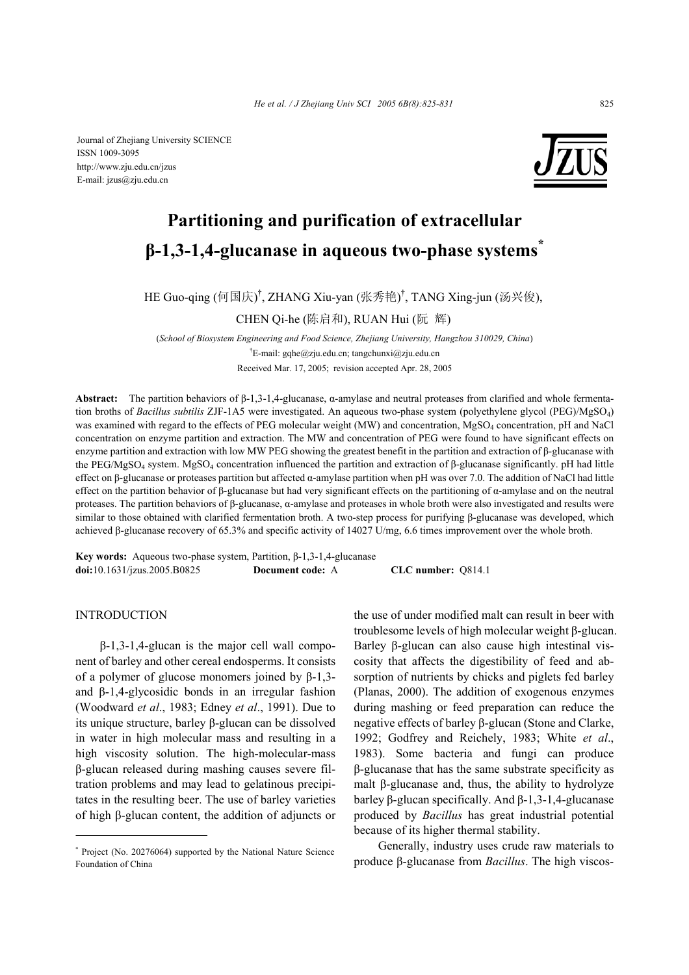Journal of Zhejiang University SCIENCE ISSN 1009-3095 http://www.zju.edu.cn/jzus E-mail: jzus@zju.edu.cn



# **Partitioning and purification of extracellular β-1,3-1,4-glucanase in aqueous two-phase systems\***

HE Guo-qing (何国庆)<sup>†</sup>, ZHANG Xiu-yan (张秀艳)<sup>†</sup>, TANG Xing-jun (汤兴俊),

CHEN Qi-he (陈启和), RUAN Hui (阮 辉)

(*School of Biosystem Engineering and Food Science, Zhejiang University, Hangzhou 310029, China*) † E-mail: gqhe@zju.edu.cn; tangchunxi@zju.edu.cn Received Mar. 17, 2005; revision accepted Apr. 28, 2005

**Abstract:** The partition behaviors of β-1,3-1,4-glucanase, α-amylase and neutral proteases from clarified and whole fermentation broths of *Bacillus subtilis* ZJF-1A5 were investigated. An aqueous two-phase system (polyethylene glycol (PEG)/MgSO4) was examined with regard to the effects of PEG molecular weight (MW) and concentration, MgSO<sub>4</sub> concentration, pH and NaCl concentration on enzyme partition and extraction. The MW and concentration of PEG were found to have significant effects on enzyme partition and extraction with low MW PEG showing the greatest benefit in the partition and extraction of β-glucanase with the PEG/MgSO<sub>4</sub> system. MgSO<sub>4</sub> concentration influenced the partition and extraction of β-glucanase significantly. pH had little effect on β-glucanase or proteases partition but affected α-amylase partition when pH was over 7.0. The addition of NaCl had little effect on the partition behavior of β-glucanase but had very significant effects on the partitioning of α-amylase and on the neutral proteases. The partition behaviors of β-glucanase, α-amylase and proteases in whole broth were also investigated and results were similar to those obtained with clarified fermentation broth. A two-step process for purifying β-glucanase was developed, which achieved β-glucanase recovery of 65.3% and specific activity of 14027 U/mg, 6.6 times improvement over the whole broth.

**Key words:** Aqueous two-phase system, Partition, β-1,3-1,4-glucanase **doi:**10.1631/jzus.2005.B0825 **Document code:** A **CLC number:** Q814.1

INTRODUCTION

β-1,3-1,4-glucan is the major cell wall component of barley and other cereal endosperms. It consists of a polymer of glucose monomers joined by β-1,3 and β-1,4-glycosidic bonds in an irregular fashion (Woodward *et al*., 1983; Edney *et al*., 1991). Due to its unique structure, barley β-glucan can be dissolved in water in high molecular mass and resulting in a high viscosity solution. The high-molecular-mass β-glucan released during mashing causes severe filtration problems and may lead to gelatinous precipitates in the resulting beer. The use of barley varieties of high β-glucan content, the addition of adjuncts or

the use of under modified malt can result in beer with troublesome levels of high molecular weight β-glucan. Barley β-glucan can also cause high intestinal viscosity that affects the digestibility of feed and absorption of nutrients by chicks and piglets fed barley (Planas, 2000). The addition of exogenous enzymes during mashing or feed preparation can reduce the negative effects of barley β-glucan (Stone and Clarke, 1992; Godfrey and Reichely, 1983; White *et al*., 1983). Some bacteria and fungi can produce β-glucanase that has the same substrate specificity as malt β-glucanase and, thus, the ability to hydrolyze barley β-glucan specifically. And β-1,3-1,4-glucanase produced by *Bacillus* has great industrial potential because of its higher thermal stability.

Generally, industry uses crude raw materials to produce β-glucanase from *Bacillus*. The high viscos-

<sup>\*</sup> Project (No. 20276064) supported by the National Nature Science Foundation of China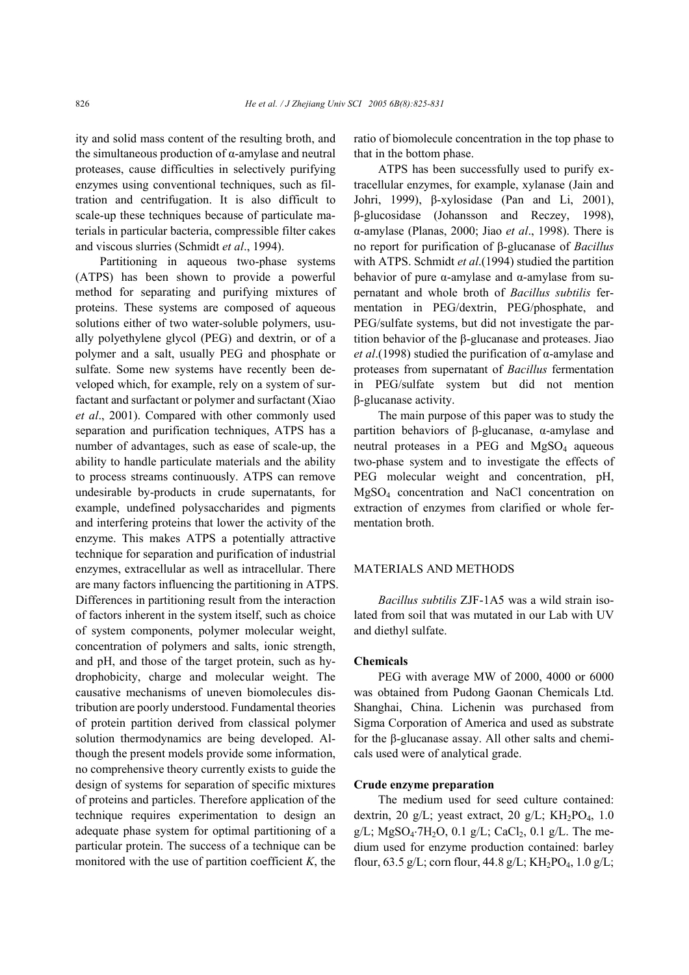ity and solid mass content of the resulting broth, and the simultaneous production of  $\alpha$ -amylase and neutral proteases, cause difficulties in selectively purifying enzymes using conventional techniques, such as filtration and centrifugation. It is also difficult to scale-up these techniques because of particulate materials in particular bacteria, compressible filter cakes and viscous slurries (Schmidt *et al*., 1994).

Partitioning in aqueous two-phase systems (ATPS) has been shown to provide a powerful method for separating and purifying mixtures of proteins. These systems are composed of aqueous solutions either of two water-soluble polymers, usually polyethylene glycol (PEG) and dextrin, or of a polymer and a salt, usually PEG and phosphate or sulfate. Some new systems have recently been developed which, for example, rely on a system of surfactant and surfactant or polymer and surfactant (Xiao *et al*., 2001). Compared with other commonly used separation and purification techniques, ATPS has a number of advantages, such as ease of scale-up, the ability to handle particulate materials and the ability to process streams continuously. ATPS can remove undesirable by-products in crude supernatants, for example, undefined polysaccharides and pigments and interfering proteins that lower the activity of the enzyme. This makes ATPS a potentially attractive technique for separation and purification of industrial enzymes, extracellular as well as intracellular. There are many factors influencing the partitioning in ATPS. Differences in partitioning result from the interaction of factors inherent in the system itself, such as choice of system components, polymer molecular weight, concentration of polymers and salts, ionic strength, and pH, and those of the target protein, such as hydrophobicity, charge and molecular weight. The causative mechanisms of uneven biomolecules distribution are poorly understood. Fundamental theories of protein partition derived from classical polymer solution thermodynamics are being developed. Although the present models provide some information, no comprehensive theory currently exists to guide the design of systems for separation of specific mixtures of proteins and particles. Therefore application of the technique requires experimentation to design an adequate phase system for optimal partitioning of a particular protein. The success of a technique can be monitored with the use of partition coefficient *K*, the

ratio of biomolecule concentration in the top phase to that in the bottom phase.

ATPS has been successfully used to purify extracellular enzymes, for example, xylanase (Jain and Johri, 1999), β-xylosidase (Pan and Li, 2001), β-glucosidase (Johansson and Reczey, 1998), α-amylase (Planas, 2000; Jiao *et al*., 1998). There is no report for purification of β-glucanase of *Bacillus* with ATPS. Schmidt *et al*.(1994) studied the partition behavior of pure α-amylase and α-amylase from supernatant and whole broth of *Bacillus subtilis* fermentation in PEG/dextrin, PEG/phosphate, and PEG/sulfate systems, but did not investigate the partition behavior of the β-glucanase and proteases. Jiao *et al*.(1998) studied the purification of α-amylase and proteases from supernatant of *Bacillus* fermentation in PEG/sulfate system but did not mention β-glucanase activity.

The main purpose of this paper was to study the partition behaviors of β-glucanase, α-amylase and neutral proteases in a PEG and  $MgSO<sub>4</sub>$  aqueous two-phase system and to investigate the effects of PEG molecular weight and concentration, pH, MgSO4 concentration and NaCl concentration on extraction of enzymes from clarified or whole fermentation broth.

## MATERIALS AND METHODS

*Bacillus subtilis* ZJF-1A5 was a wild strain isolated from soil that was mutated in our Lab with UV and diethyl sulfate.

#### **Chemicals**

PEG with average MW of 2000, 4000 or 6000 was obtained from Pudong Gaonan Chemicals Ltd. Shanghai, China. Lichenin was purchased from Sigma Corporation of America and used as substrate for the β-glucanase assay. All other salts and chemicals used were of analytical grade.

## **Crude enzyme preparation**

The medium used for seed culture contained: dextrin, 20 g/L; yeast extract, 20 g/L;  $KH_2PO_4$ , 1.0  $g/L$ ; MgSO<sub>4</sub>⋅7H<sub>2</sub>O, 0.1 g/L; CaCl<sub>2</sub>, 0.1 g/L. The medium used for enzyme production contained: barley flour,  $63.5 \text{ g/L}$ ; corn flour,  $44.8 \text{ g/L}$ ; KH<sub>2</sub>PO<sub>4</sub>,  $1.0 \text{ g/L}$ ;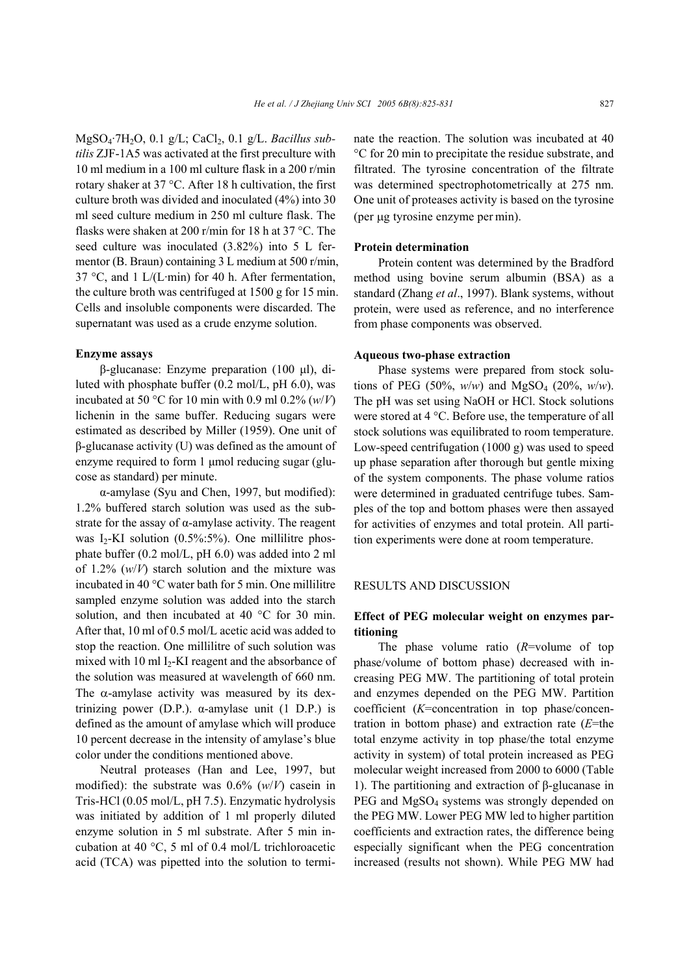MgSO<sub>4</sub>·7H<sub>2</sub>O, 0.1 g/L; CaCl<sub>2</sub>, 0.1 g/L. *Bacillus subtilis* ZJF-1A5 was activated at the first preculture with 10 ml medium in a 100 ml culture flask in a 200 r/min rotary shaker at 37 °C. After 18 h cultivation, the first culture broth was divided and inoculated (4%) into 30 ml seed culture medium in 250 ml culture flask. The flasks were shaken at 200 r/min for 18 h at 37 °C. The seed culture was inoculated (3.82%) into 5 L fermentor (B. Braun) containing 3 L medium at 500 r/min, 37 °C, and 1 L/(L·min) for 40 h. After fermentation, the culture broth was centrifuged at 1500 g for 15 min. Cells and insoluble components were discarded. The supernatant was used as a crude enzyme solution.

## **Enzyme assays**

β-glucanase: Enzyme preparation (100 µl), diluted with phosphate buffer (0.2 mol/L, pH 6.0), was incubated at 50 °C for 10 min with 0.9 ml 0.2%  $(w/V)$ lichenin in the same buffer. Reducing sugars were estimated as described by Miller (1959). One unit of β-glucanase activity (U) was defined as the amount of enzyme required to form 1 µmol reducing sugar (glucose as standard) per minute.

α-amylase (Syu and Chen, 1997, but modified): 1.2% buffered starch solution was used as the substrate for the assay of  $\alpha$ -amylase activity. The reagent was I<sub>2</sub>-KI solution  $(0.5\% : 5\%)$ . One millilitre phosphate buffer (0.2 mol/L, pH 6.0) was added into 2 ml of 1.2% (*w*/*V*) starch solution and the mixture was incubated in 40 °C water bath for 5 min. One millilitre sampled enzyme solution was added into the starch solution, and then incubated at 40 °C for 30 min. After that, 10 ml of 0.5 mol/L acetic acid was added to stop the reaction. One millilitre of such solution was mixed with 10 ml I<sub>2</sub>-KI reagent and the absorbance of the solution was measured at wavelength of 660 nm. The  $\alpha$ -amylase activity was measured by its dextrinizing power (D.P.). α-amylase unit  $(1 \text{ D.P.})$  is defined as the amount of amylase which will produce 10 percent decrease in the intensity of amylase's blue color under the conditions mentioned above.

Neutral proteases (Han and Lee, 1997, but modified): the substrate was 0.6% (*w*/*V*) casein in Tris-HCl (0.05 mol/L, pH 7.5). Enzymatic hydrolysis was initiated by addition of 1 ml properly diluted enzyme solution in 5 ml substrate. After 5 min incubation at 40 °C, 5 ml of 0.4 mol/L trichloroacetic acid (TCA) was pipetted into the solution to terminate the reaction. The solution was incubated at 40 °C for 20 min to precipitate the residue substrate, and filtrated. The tyrosine concentration of the filtrate was determined spectrophotometrically at 275 nm. One unit of proteases activity is based on the tyrosine (per µg tyrosine enzyme per min).

## **Protein determination**

Protein content was determined by the Bradford method using bovine serum albumin (BSA) as a standard (Zhang *et al*., 1997). Blank systems, without protein, were used as reference, and no interference from phase components was observed.

## **Aqueous two-phase extraction**

Phase systems were prepared from stock solutions of PEG (50%,  $w/w$ ) and MgSO<sub>4</sub> (20%,  $w/w$ ). The pH was set using NaOH or HCl. Stock solutions were stored at 4 °C. Before use, the temperature of all stock solutions was equilibrated to room temperature. Low-speed centrifugation (1000 g) was used to speed up phase separation after thorough but gentle mixing of the system components. The phase volume ratios were determined in graduated centrifuge tubes. Samples of the top and bottom phases were then assayed for activities of enzymes and total protein. All partition experiments were done at room temperature.

## RESULTS AND DISCUSSION

## **Effect of PEG molecular weight on enzymes partitioning**

The phase volume ratio (*R*=volume of top phase/volume of bottom phase) decreased with increasing PEG MW. The partitioning of total protein and enzymes depended on the PEG MW. Partition coefficient (*K*=concentration in top phase/concentration in bottom phase) and extraction rate (*E*=the total enzyme activity in top phase/the total enzyme activity in system) of total protein increased as PEG molecular weight increased from 2000 to 6000 (Table 1). The partitioning and extraction of β-glucanase in PEG and MgSO<sub>4</sub> systems was strongly depended on the PEG MW. Lower PEG MW led to higher partition coefficients and extraction rates, the difference being especially significant when the PEG concentration increased (results not shown). While PEG MW had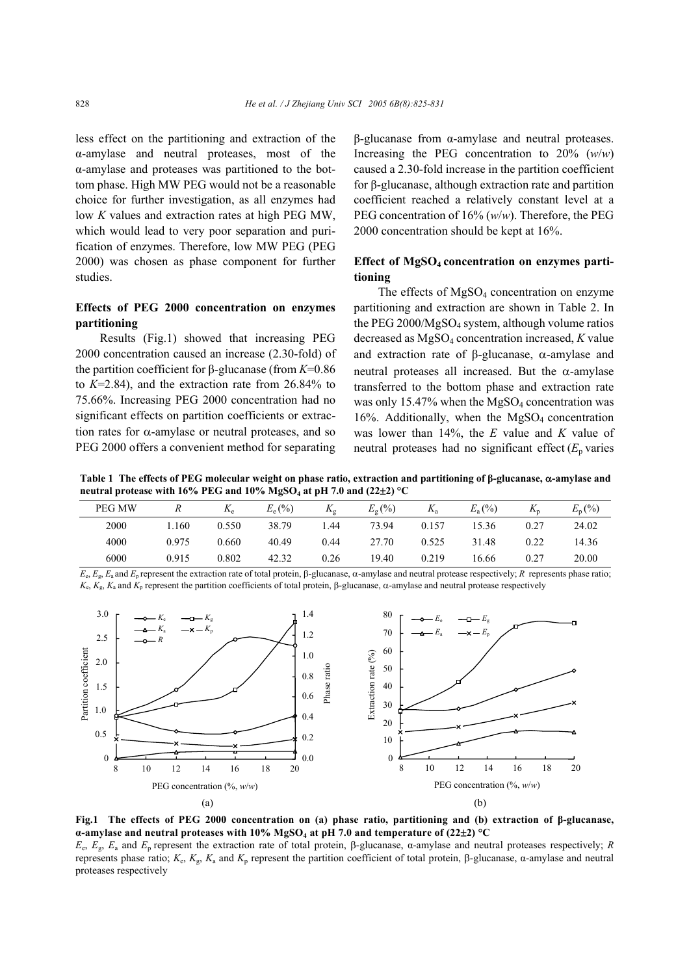less effect on the partitioning and extraction of the α-amylase and neutral proteases, most of the α-amylase and proteases was partitioned to the bottom phase. High MW PEG would not be a reasonable choice for further investigation, as all enzymes had low *K* values and extraction rates at high PEG MW, which would lead to very poor separation and purification of enzymes. Therefore, low MW PEG (PEG 2000) was chosen as phase component for further studies.

# **Effects of PEG 2000 concentration on enzymes partitioning**

Results (Fig.1) showed that increasing PEG 2000 concentration caused an increase (2.30-fold) of the partition coefficient for β-glucanase (from *K*=0.86 to *K*=2.84), and the extraction rate from 26.84% to 75.66%. Increasing PEG 2000 concentration had no significant effects on partition coefficients or extraction rates for  $\alpha$ -amylase or neutral proteases, and so PEG 2000 offers a convenient method for separating

β-glucanase from α-amylase and neutral proteases. Increasing the PEG concentration to 20% (*w*/*w*) caused a 2.30-fold increase in the partition coefficient for β-glucanase, although extraction rate and partition coefficient reached a relatively constant level at a PEG concentration of 16% (*w*/*w*). Therefore, the PEG 2000 concentration should be kept at 16%.

# **Effect of MgSO4 concentration on enzymes partitioning**

The effects of MgSO<sub>4</sub> concentration on enzyme partitioning and extraction are shown in Table 2. In the PEG 2000/MgSO4 system, although volume ratios decreased as MgSO4 concentration increased, *K* value and extraction rate of β-glucanase, α-amylase and neutral proteases all increased. But the α-amylase transferred to the bottom phase and extraction rate was only 15.47% when the  $MgSO<sub>4</sub>$  concentration was 16%. Additionally, when the  $MgSO<sub>4</sub>$  concentration was lower than 14%, the *E* value and *K* value of neutral proteases had no significant effect  $(E_p)$  varies

**Table 1 The effects of PEG molecular weight on phase ratio, extraction and partitioning of β-glucanase,** α**-amylase and neutral protease with 16% PEG and 10% MgSO4 at pH 7.0 and (22**±**2) °C** 

| <b>PEG MW</b> |       | $\Lambda_e$ | $E_e$ (%) | $K_{\rm g}$ | $E_{\rm g}$ (%) | $K_{a}$ | $E_{\rm a}$ (%) | $\mathbf{L}_{\mathbf{n}}$ | $E_{p}$ (%) |
|---------------|-------|-------------|-----------|-------------|-----------------|---------|-----------------|---------------------------|-------------|
| 2000          | .160  | 0.550       | 38.79     | .44         | 73.94           | 0.157   | 5.36            | 0.27                      | 24.02       |
| 4000          | 0.975 | 0.660       | 40.49     | 0.44        | 27.70           | 0.525   | 31.48           | 0.22                      | 14.36       |
| 6000          | 0.915 | 0.802       | 42.32     | 0.26        | 19.40           | 0.219   | 16.66           | 0.27                      | 20.00       |

 $E<sub>e</sub>$ ,  $E<sub>g</sub>$ ,  $E<sub>a</sub>$  and  $E<sub>p</sub>$  represent the extraction rate of total protein, β-glucanase, α-amylase and neutral protease respectively; *R* represents phase ratio;  $K_{e}$ ,  $K_{a}$ ,  $K_{a}$  and  $K_{p}$  represent the partition coefficients of total protein, β-glucanase, α-amylase and neutral protease respectively



**Fig.1 The effects of PEG 2000 concentration on (a) phase ratio, partitioning and (b) extraction of β-glucanase, α-amylase and neutral proteases with 10% MgSO4 at pH 7.0 and temperature of (22**±**2) °C** 

*E*e, *E*g, *E*a and *E*p represent the extraction rate of total protein, β-glucanase, α-amylase and neutral proteases respectively; *R* represents phase ratio; *K*e, *K*g, *K*a and *K*<sup>p</sup> represent the partition coefficient of total protein, β-glucanase, α-amylase and neutral proteases respectively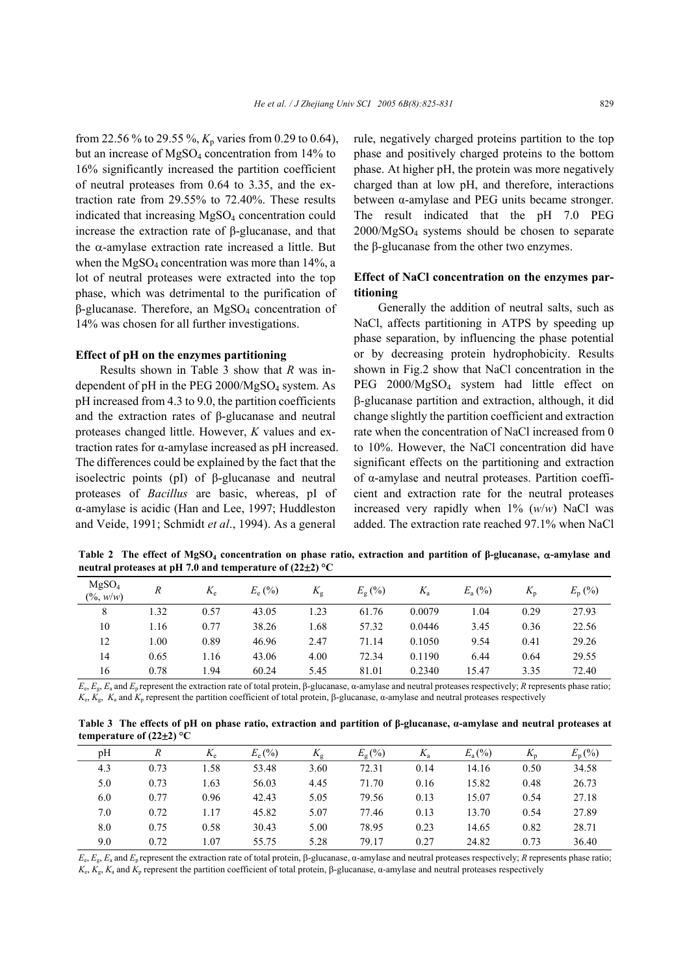from 22.56 % to 29.55 %, *K*p varies from 0.29 to 0.64), but an increase of MgSO<sub>4</sub> concentration from 14% to 16% significantly increased the partition coefficient of neutral proteases from 0.64 to 3.35, and the extraction rate from 29.55% to 72.40%. These results indicated that increasing MgSO<sub>4</sub> concentration could increase the extraction rate of β-glucanase, and that the  $\alpha$ -amylase extraction rate increased a little. But when the  $MgSO<sub>4</sub>$  concentration was more than 14%, a lot of neutral proteases were extracted into the top phase, which was detrimental to the purification of β-glucanase. Therefore, an MgSO4 concentration of 14% was chosen for all further investigations.

#### **Effect of pH on the enzymes partitioning**

Results shown in Table 3 show that *R* was independent of pH in the PEG 2000/MgSO<sub>4</sub> system. As pH increased from 4.3 to 9.0, the partition coefficients and the extraction rates of β-glucanase and neutral proteases changed little. However, *K* values and extraction rates for α-amylase increased as pH increased. The differences could be explained by the fact that the isoelectric points (pI) of β-glucanase and neutral proteases of *Bacillus* are basic, whereas, pI of α-amylase is acidic (Han and Lee, 1997; Huddleston and Veide, 1991; Schmidt *et al*., 1994). As a general

rule, negatively charged proteins partition to the top phase and positively charged proteins to the bottom phase. At higher pH, the protein was more negatively charged than at low pH, and therefore, interactions between α-amylase and PEG units became stronger. The result indicated that the pH 7.0 PEG 2000/MgSO4 systems should be chosen to separate the β-glucanase from the other two enzymes.

## **Effect of NaCl concentration on the enzymes partitioning**

Generally the addition of neutral salts, such as NaCl, affects partitioning in ATPS by speeding up phase separation, by influencing the phase potential or by decreasing protein hydrophobicity. Results shown in Fig.2 show that NaCl concentration in the PEG 2000/MgSO<sub>4</sub> system had little effect on β-glucanase partition and extraction, although, it did change slightly the partition coefficient and extraction rate when the concentration of NaCl increased from 0 to 10%. However, the NaCl concentration did have significant effects on the partitioning and extraction of α-amylase and neutral proteases. Partition coefficient and extraction rate for the neutral proteases increased very rapidly when 1% (*w*/*w*) NaCl was added. The extraction rate reached 97.1% when NaCl

**Table 2 The effect of MgSO4 concentration on phase ratio, extraction and partition of β-glucanase,** α**-amylase and neutral proteases at pH 7.0 and temperature of (22**±**2) °C** 

| MgSO <sub>4</sub><br>$(\%, w/w)$ | $\boldsymbol{R}$ | $K_{\rm e}$ | $E_e$ (%) | $K_{\rm g}$ | $E_{\rm g}$ (%) | $K_{a}$ | $E_{\rm a}$ (%) | $K_{p}$ | $E_p(^{0}\!\!/_{\!0})$ |
|----------------------------------|------------------|-------------|-----------|-------------|-----------------|---------|-----------------|---------|------------------------|
| 8                                | .32              | 0.57        | 43.05     | 1.23        | 61.76           | 0.0079  | .04             | 0.29    | 27.93                  |
| 10                               | l.16             | 0.77        | 38.26     | l.68        | 57.32           | 0.0446  | 3.45            | 0.36    | 22.56                  |
| 12                               | 0.00             | 0.89        | 46.96     | 2.47        | 71.14           | 0.1050  | 9.54            | 0.41    | 29.26                  |
| 14                               | 0.65             | 1.16        | 43.06     | 4.00        | 72.34           | 0.1190  | 6.44            | 0.64    | 29.55                  |
| 16                               | 0.78             | l.94        | 60.24     | 5.45        | 81.01           | 0.2340  | 15.47           | 3.35    | 72.40                  |

 $E_e$ ,  $E_e$ ,  $E_a$  and  $E_p$  represent the extraction rate of total protein,  $\beta$ -glucanase,  $\alpha$ -amylase and neutral proteases respectively; *R* represents phase ratio;  $K_e$ ,  $K_g$ ,  $K_a$  and  $K_p$  represent the partition coefficient of total protein, β-glucanase, α-amylase and neutral proteases respectively

**Table 3 The effects of pH on phase ratio, extraction and partition of β-glucanase, α-amylase and neutral proteases at temperature of (22**±**2) °C** 

| pH  | R    | $K_{\rm e}$ | $E_e$ (%) | $K_{\rm g}$ | $E_{\rm g}$ (%) | $K_{\rm a}$ | $E_{\rm a}$ (%) | $K_{n}$ | $E_{\rm p}(\%)$ |
|-----|------|-------------|-----------|-------------|-----------------|-------------|-----------------|---------|-----------------|
| 4.3 | 0.73 | 1.58        | 53.48     | 3.60        | 72.31           | 0.14        | 14.16           | 0.50    | 34.58           |
| 5.0 | 0.73 | 1.63        | 56.03     | 4.45        | 71.70           | 0.16        | 15.82           | 0.48    | 26.73           |
| 6.0 | 0.77 | 0.96        | 42.43     | 5.05        | 79.56           | 0.13        | 15.07           | 0.54    | 27.18           |
| 7.0 | 0.72 | 1.17        | 45.82     | 5.07        | 77.46           | 0.13        | 13.70           | 0.54    | 27.89           |
| 8.0 | 0.75 | 0.58        | 30.43     | 5.00        | 78.95           | 0.23        | 14.65           | 0.82    | 28.71           |
| 9.0 | 0.72 | 1.07        | 55.75     | 5.28        | 79.17           | 0.27        | 24.82           | 0.73    | 36.40           |

*E*e, *E*g, *E*a and *E*p represent the extraction rate of total protein, β-glucanase, α-amylase and neutral proteases respectively; *R* represents phase ratio;  $K_e, K_a, K_a$  and  $K_p$  represent the partition coefficient of total protein, β-glucanase,  $\alpha$ -amylase and neutral proteases respectively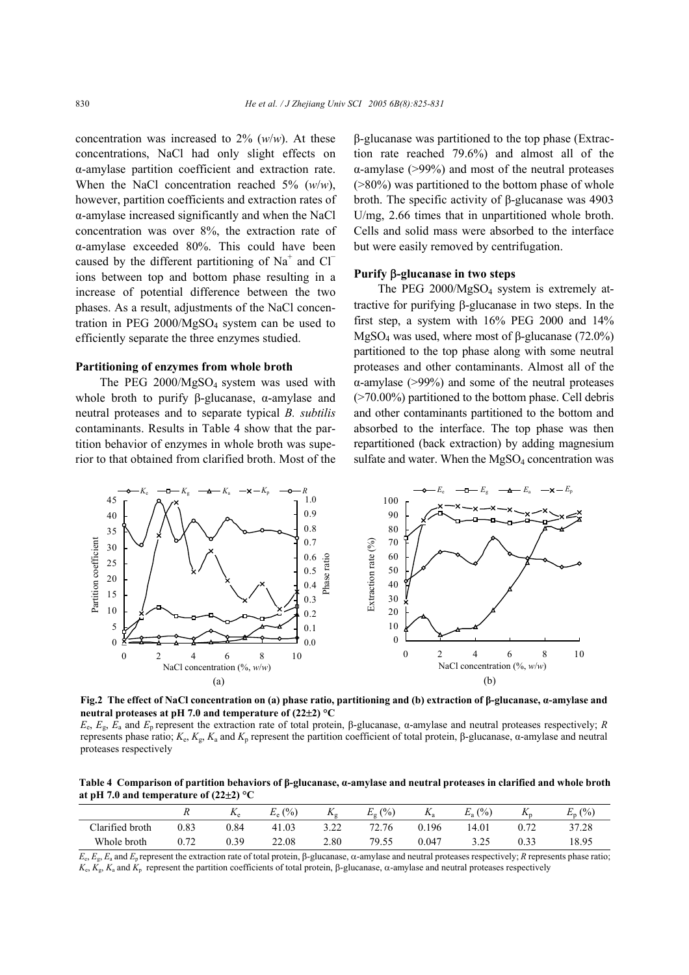concentration was increased to 2% (*w*/*w*). At these concentrations, NaCl had only slight effects on α-amylase partition coefficient and extraction rate. When the NaCl concentration reached 5% (*w*/*w*), however, partition coefficients and extraction rates of α-amylase increased significantly and when the NaCl concentration was over 8%, the extraction rate of α-amylase exceeded 80%. This could have been caused by the different partitioning of Na<sup>+</sup> and Cl<sup>−</sup> ions between top and bottom phase resulting in a increase of potential difference between the two phases. As a result, adjustments of the NaCl concentration in PEG 2000/MgSO4 system can be used to efficiently separate the three enzymes studied.

#### **Partitioning of enzymes from whole broth**

The PEG 2000/MgSO4 system was used with whole broth to purify β-glucanase, α-amylase and neutral proteases and to separate typical *B. subtilis*  contaminants. Results in Table 4 show that the partition behavior of enzymes in whole broth was superior to that obtained from clarified broth. Most of the

β-glucanase was partitioned to the top phase (Extraction rate reached 79.6%) and almost all of the α-amylase (>99%) and most of the neutral proteases  $($ >80%) was partitioned to the bottom phase of whole broth. The specific activity of β-glucanase was 4903 U/mg, 2.66 times that in unpartitioned whole broth. Cells and solid mass were absorbed to the interface but were easily removed by centrifugation.

## **Purify** β**-glucanase in two steps**

The PEG 2000/MgSO<sub>4</sub> system is extremely attractive for purifying β-glucanase in two steps. In the first step, a system with 16% PEG 2000 and 14%  $MgSO<sub>4</sub>$  was used, where most of β-glucanase (72.0%) partitioned to the top phase along with some neutral proteases and other contaminants. Almost all of the α-amylase (>99%) and some of the neutral proteases (>70.00%) partitioned to the bottom phase. Cell debris and other contaminants partitioned to the bottom and absorbed to the interface. The top phase was then repartitioned (back extraction) by adding magnesium sulfate and water. When the  $MgSO<sub>4</sub>$  concentration was



**Fig.2 The effect of NaCl concentration on (a) phase ratio, partitioning and (b) extraction of β-glucanase, α-amylase and neutral proteases at pH 7.0 and temperature of (22**±**2) °C** 

*E*e, *E*g, *E*a and *E*p represent the extraction rate of total protein, β-glucanase, α-amylase and neutral proteases respectively; *R* represents phase ratio; *K*e, *K*g, *K*a and *K*<sup>p</sup> represent the partition coefficient of total protein, β-glucanase, α-amylase and neutral proteases respectively

**Table 4 Comparison of partition behaviors of β-glucanase, α-amylase and neutral proteases in clarified and whole broth at pH 7.0 and temperature of (22**±**2) °C** 

|                 |      | $\mathbf{v}_{e}$ | $_{e}$ (%)<br>$E_{\circ}$ | $\Lambda_{\alpha}$ | (0/0)<br>$E_{\mathfrak{g}}$ 1 | $\mathbf{r}_{\mathsf{a}}$ | $\frac{(0)}{0}$<br>$E_{a}$ |      | (0/0)<br>$E_{\rm p}$ |
|-----------------|------|------------------|---------------------------|--------------------|-------------------------------|---------------------------|----------------------------|------|----------------------|
| Clarified broth | 0.83 | 0.84             | 41.03                     | 3.22               | 72.76                         | 0.196                     | 14.01                      |      | 37.28                |
| Whole broth     | ت ا  | 0.39             | 22.08                     | 2.80               | 79.55                         | 0.047                     | ل ∠.د                      | U.SS | 18.95                |

 $E_e$ ,  $E_g$ ,  $E_g$  and  $E_g$  represent the extraction rate of total protein,  $\beta$ -glucanase,  $\alpha$ -amylase and neutral proteases respectively; *R* represents phase ratio;  $K_e, K_e, K_a$  and  $K_p$  represent the partition coefficients of total protein, β-glucanase, α-amylase and neutral proteases respectively